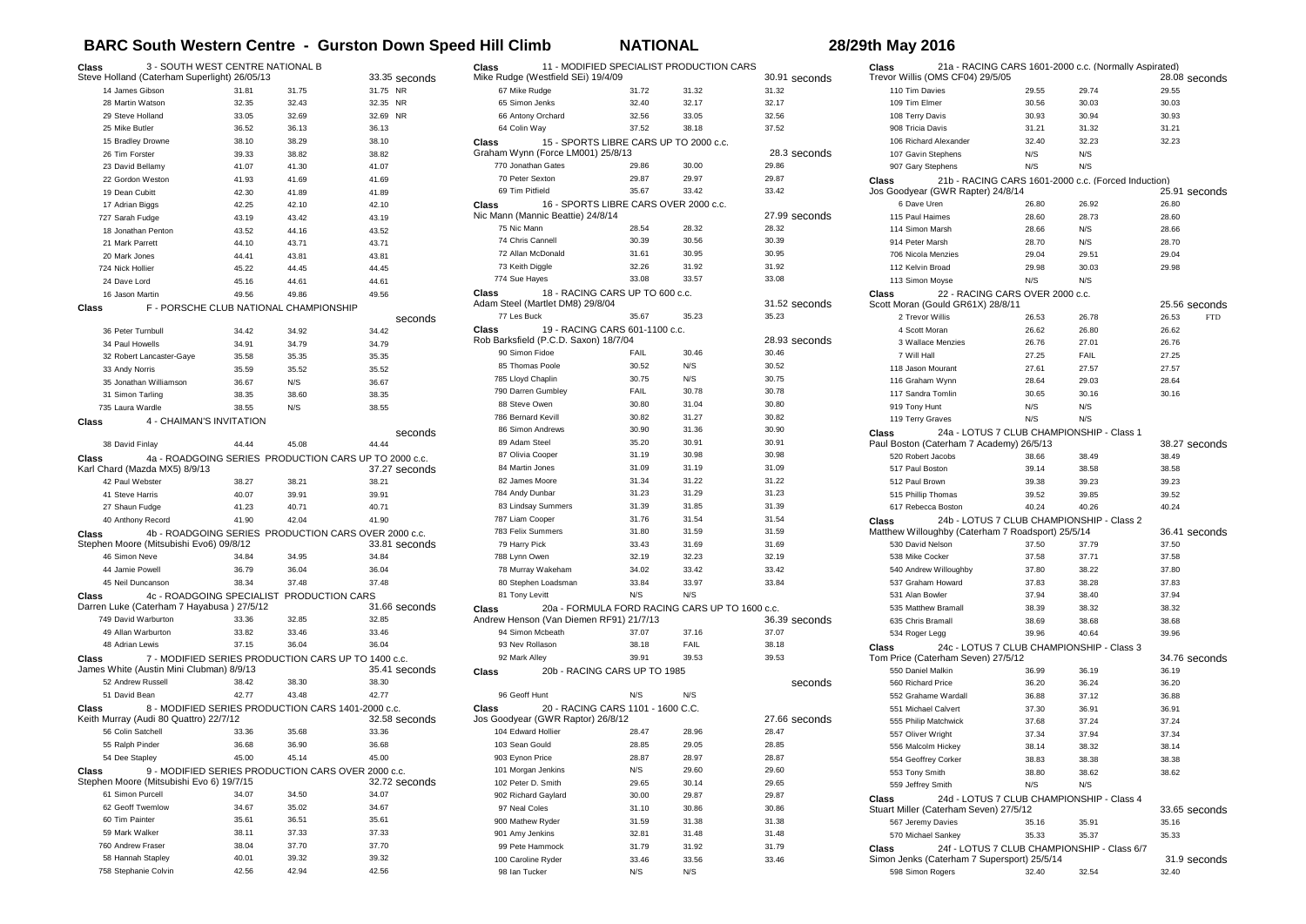## **BARC South Western Centre - Gurston Down Speed Hill Climb NATIONAL 28/29th May 2016**

28.08 seconds

 $25.91$  seconds

 $25.56$  seconds<br> $26.53$   $FTD$ 

38.27 seconds

36.41 seconds

34.76 seconds

33.65 seconds

31.9 seconds

| 3 - SOUTH WEST CENTRE NATIONAL B<br>Class<br>Steve Holland (Caterham Superlight) 26/05/13 |                                                     |                 | 11 - MODIFIED SPECIALIST PRODUCTION CARS<br>Class                     |                                                     |                                       |                                                | 21a - RACING CARS 1601-2000 c.c. (Normally Aspirated)<br>Class |                                                            |                                 |                                                     |                       |
|-------------------------------------------------------------------------------------------|-----------------------------------------------------|-----------------|-----------------------------------------------------------------------|-----------------------------------------------------|---------------------------------------|------------------------------------------------|----------------------------------------------------------------|------------------------------------------------------------|---------------------------------|-----------------------------------------------------|-----------------------|
|                                                                                           |                                                     |                 | 33.35 seconds                                                         | Mike Rudge (Westfield SEi) 19/4/09<br>67 Mike Rudge |                                       |                                                | 30.91 seconds                                                  | Trevor Willis (OMS CF04) 29/5/05<br>110 Tim Davies         |                                 |                                                     | 28.08 second<br>29.55 |
| 14 James Gibson                                                                           | 31.81                                               | 31.75           | 31.75 NR                                                              |                                                     | 31.72                                 | 31.32                                          | 31.32                                                          |                                                            | 29.55<br>30.56                  | 29.74                                               |                       |
| 28 Martin Watson<br>29 Steve Holland                                                      | 32.35                                               | 32.43           | 32.35 NR<br>32.69 NR                                                  | 65 Simon Jenks                                      | 32.40                                 | 32.17                                          | 32.17<br>32.56                                                 | 109 Tim Elmer                                              |                                 | 30.03                                               | 30.03                 |
|                                                                                           | 33.05                                               | 32.69           |                                                                       | 66 Antony Orchard                                   | 32.56                                 | 33.05                                          |                                                                | 108 Terry Davis                                            | 30.93                           | 30.94                                               | 30.93                 |
| 25 Mike Butler                                                                            | 36.52                                               | 36.13           | 36.13                                                                 | 64 Colin Way                                        | 37.52                                 | 38.18                                          | 37.52                                                          | 908 Tricia Davis                                           | 31.21                           | 31.32                                               | 31.21                 |
| 15 Bradley Drowne                                                                         | 38.10                                               | 38.29           | 38.10                                                                 | Class<br>Graham Wynn (Force LM001) 25/8/13          |                                       | 15 - SPORTS LIBRE CARS UP TO 2000 c.c.         |                                                                | 106 Richard Alexander                                      | 32.40                           | 32.23                                               | 32.23                 |
| 26 Tim Forster                                                                            | 39.33                                               | 38.82           | 38.82                                                                 |                                                     |                                       |                                                | 28.3 seconds                                                   | 107 Gavin Stephens                                         | N/S                             | N/S                                                 |                       |
| 23 David Bellamy                                                                          | 41.07                                               | 41.30           | 41.07                                                                 | 770 Jonathan Gates                                  | 29.86                                 | 30.00                                          | 29.86                                                          | 907 Gary Stephens                                          | N/S                             | N/S                                                 |                       |
| 22 Gordon Weston                                                                          | 41.93                                               | 41.69           | 41.69                                                                 | 70 Peter Sexton                                     | 29.87                                 | 29.97                                          | 29.87                                                          | Class                                                      |                                 | 21b - RACING CARS 1601-2000 c.c. (Forced Induction) |                       |
| 19 Dean Cubitt                                                                            | 42.30                                               | 41.89           | 41.89                                                                 | 69 Tim Pitfield                                     | 35.67                                 | 33.42                                          | 33.42                                                          | Jos Goodyear (GWR Rapter) 24/8/14                          |                                 |                                                     | 25.91 second          |
| 17 Adrian Biggs                                                                           | 42.25                                               | 42.10           | 42.10                                                                 | Class                                               | 16 - SPORTS LIBRE CARS OVER 2000 c.c. |                                                |                                                                | 6 Dave Uren                                                | 26.80                           | 26.92                                               | 26.80                 |
| 727 Sarah Fudge                                                                           | 43.19                                               | 43.42           | 43.19                                                                 | Nic Mann (Mannic Beattie) 24/8/14                   |                                       |                                                | 27.99 seconds                                                  | 115 Paul Haimes                                            | 28.60                           | 28.73                                               | 28.60                 |
| 18 Jonathan Penton                                                                        | 43.52                                               | 44.16           | 43.52                                                                 | 75 Nic Mann                                         | 28.54                                 | 28.32                                          | 28.32                                                          | 114 Simon Marsh                                            | 28.66                           | N/S                                                 | 28.66                 |
| 21 Mark Parrett                                                                           | 44.10                                               | 43.71           | 43.71                                                                 | 74 Chris Cannell                                    | 30.39                                 | 30.56                                          | 30.39                                                          | 914 Peter Marsh                                            | 28.70                           | N/S                                                 | 28.70                 |
| 20 Mark Jones                                                                             | 44.41                                               | 43.81           | 43.81                                                                 | 72 Allan McDonald                                   | 31.61                                 | 30.95                                          | 30.95                                                          | 706 Nicola Menzies                                         | 29.04                           | 29.51                                               | 29.04                 |
| 724 Nick Hollier                                                                          | 45.22                                               | 44.45           | 44.45                                                                 | 73 Keith Diggle                                     | 32.26                                 | 31.92                                          | 31.92                                                          | 112 Kelvin Broad                                           | 29.98                           | 30.03                                               | 29.98                 |
| 24 Dave Lord                                                                              | 45.16                                               | 44.61           | 44.61                                                                 | 774 Sue Hayes                                       | 33.08                                 | 33.57                                          | 33.08                                                          | 113 Simon Moyse                                            | N/S                             | N/S                                                 |                       |
| 16 Jason Martin                                                                           | 49.56                                               | 49.86           | 49.56                                                                 | Class                                               | 18 - RACING CARS UP TO 600 c.c.       |                                                |                                                                | Class                                                      | 22 - RACING CARS OVER 2000 c.c. |                                                     |                       |
| Class                                                                                     | F - PORSCHE CLUB NATIONAL CHAMPIONSHIP              |                 |                                                                       | Adam Steel (Martlet DM8) 29/8/04                    |                                       |                                                | 31.52 seconds                                                  | Scott Moran (Gould GR61X) 28/8/11                          |                                 |                                                     | 25.56 second          |
|                                                                                           |                                                     |                 | seconds                                                               | 77 Les Buck                                         | 35.67                                 | 35.23                                          | 35.23                                                          | 2 Trevor Willis                                            | 26.53                           | 26.78                                               | 26.53<br><b>FTI</b>   |
| 36 Peter Turnbull                                                                         | 34.42                                               | 34.92           | 34.42                                                                 | Class                                               | 19 - RACING CARS 601-1100 c.c.        |                                                |                                                                | 4 Scott Moran                                              | 26.62                           | 26.80                                               | 26.62                 |
| 34 Paul Howells                                                                           | 34.91                                               | 34.79           | 34.79                                                                 | Rob Barksfield (P.C.D. Saxon) 18/7/04               |                                       |                                                | 28.93 seconds                                                  | 3 Wallace Menzies                                          | 26.76                           | 27.01                                               | 26.76                 |
| 32 Robert Lancaster-Gaye                                                                  | 35.58                                               | 35.35           | 35.35                                                                 | 90 Simon Fidoe                                      | FAIL                                  | 30.46                                          | 30.46                                                          | 7 Will Hall                                                | 27.25                           | FAIL                                                | 27.25                 |
| 33 Andy Norris                                                                            | 35.59                                               | 35.52           | 35.52                                                                 | 85 Thomas Poole                                     | 30.52                                 | N/S                                            | 30.52                                                          | 118 Jason Mourant                                          | 27.61                           | 27.57                                               | 27.57                 |
| 35 Jonathan Williamson                                                                    | 36.67                                               | N/S             | 36.67                                                                 | 785 Lloyd Chaplin                                   | 30.75                                 | N/S                                            | 30.75                                                          | 116 Graham Wynn                                            | 28.64                           | 29.03                                               | 28.64                 |
| 31 Simon Tarling                                                                          | 38.35                                               | 38.60           | 38.35                                                                 | 790 Darren Gumbley                                  | FAIL                                  | 30.78                                          | 30.78                                                          | 117 Sandra Tomlin                                          | 30.65                           | 30.16                                               | 30.16                 |
| 735 Laura Wardle                                                                          | 38.55                                               | N/S             | 38.55                                                                 | 88 Steve Owen                                       | 30.80                                 | 31.04                                          | 30.80                                                          | 919 Tony Hunt                                              | N/S                             | N/S                                                 |                       |
| Class                                                                                     | 4 - CHAIMAN'S INVITATION                            |                 |                                                                       | 786 Bernard Kevill                                  | 30.82                                 | 31.27                                          | 30.82                                                          | 119 Terry Graves                                           | N/S                             | N/S                                                 |                       |
|                                                                                           |                                                     |                 | seconds                                                               | 86 Simon Andrews                                    | 30.90                                 | 31.36                                          | 30.90                                                          | Class                                                      |                                 | 24a - LOTUS 7 CLUB CHAMPIONSHIP - Class 1           |                       |
| 38 David Finlay                                                                           | 44.44                                               | 45.08           | 44.44                                                                 | 89 Adam Steel                                       | 35.20                                 | 30.91                                          | 30.91                                                          | Paul Boston (Caterham 7 Academy) 26/5/13                   |                                 |                                                     | 38.27 second          |
| Class                                                                                     |                                                     |                 | 4a - ROADGOING SERIES PRODUCTION CARS UP TO 2000 c.c.                 | 87 Olivia Cooper                                    | 31.19                                 | 30.98                                          | 30.98                                                          | 520 Robert Jacobs                                          | 38.66                           | 38.49                                               | 38.49                 |
| Karl Chard (Mazda MX5) 8/9/13                                                             |                                                     |                 | 37.27 seconds                                                         | 84 Martin Jones                                     | 31.09                                 | 31.19                                          | 31.09                                                          | 517 Paul Boston                                            | 39.14                           | 38.58                                               | 38.58                 |
| 42 Paul Webster                                                                           | 38.27                                               | 38.21           | 38.21                                                                 | 82 James Moore                                      | 31.34                                 | 31.22                                          | 31.22                                                          | 512 Paul Brown                                             | 39.38                           | 39.23                                               | 39.23                 |
| 41 Steve Harris                                                                           | 40.07                                               | 39.91           | 39.91                                                                 | 784 Andy Dunbar                                     | 31.23                                 | 31.29                                          | 31.23                                                          | 515 Phillip Thomas                                         | 39.52                           | 39.85                                               | 39.52                 |
| 27 Shaun Fudge                                                                            | 41.23                                               | 40.71           | 40.71                                                                 | 83 Lindsay Summers                                  | 31.39                                 | 31.85                                          | 31.39                                                          | 617 Rebecca Boston                                         | 40.24                           | 40.26                                               | 40.24                 |
|                                                                                           | 41.90                                               | 42.04           | 41.90                                                                 | 787 Liam Cooper                                     | 31.76                                 | 31.54                                          | 31.54                                                          |                                                            |                                 |                                                     |                       |
| 40 Anthony Record                                                                         |                                                     |                 |                                                                       | 783 Felix Summers                                   | 31.80                                 | 31.59                                          | 31.59                                                          | Class<br>Matthew Willoughby (Caterham 7 Roadsport) 25/5/14 |                                 | 24b - LOTUS 7 CLUB CHAMPIONSHIP - Class 2           | 36.41 second          |
| Class<br>Stephen Moore (Mitsubishi Evo6) 09/8/12                                          |                                                     |                 | 4b - ROADGOING SERIES PRODUCTION CARS OVER 2000 c.c.<br>33.81 seconds | 79 Harry Pick                                       | 33.43                                 | 31.69                                          | 31.69                                                          | 530 David Nelson                                           | 37.50                           |                                                     | 37.50                 |
| 46 Simon Neve                                                                             |                                                     |                 | 34.84                                                                 |                                                     |                                       | 32.23                                          | 32.19                                                          |                                                            |                                 | 37.79                                               | 37.58                 |
|                                                                                           | 34.84                                               | 34.95           |                                                                       | 788 Lynn Owen                                       | 32.19                                 |                                                |                                                                | 538 Mike Cocker                                            | 37.58                           | 37.71                                               |                       |
| 44 Jamie Powell                                                                           | 36.79                                               | 36.04           | 36.04                                                                 | 78 Murray Wakeham                                   | 34.02                                 | 33.42                                          | 33.42                                                          | 540 Andrew Willoughby                                      | 37.80                           | 38.22                                               | 37.80                 |
| 45 Neil Duncanson                                                                         | 38.34                                               | 37.48           | 37.48                                                                 | 80 Stephen Loadsman                                 | 33.84                                 | 33.97                                          | 33.84                                                          | 537 Graham Howard                                          | 37.83                           | 38.28                                               | 37.83                 |
| Class                                                                                     | 4c - ROADGOING SPECIALIST                           | PRODUCTION CARS |                                                                       | 81 Tony Levitt                                      | N/S                                   | N/S                                            |                                                                | 531 Alan Bowler                                            | 37.94                           | 38.40                                               | 37.94                 |
| Darren Luke (Caterham 7 Hayabusa) 27/5/12                                                 |                                                     |                 | 31.66 seconds                                                         | Class                                               |                                       | 20a - FORMULA FORD RACING CARS UP TO 1600 c.c. |                                                                | 535 Matthew Bramall                                        | 38.39                           | 38.32                                               | 38.32                 |
| 749 David Warburton                                                                       | 33.36                                               | 32.85           | 32.85                                                                 | Andrew Henson (Van Diemen RF91) 21/7/13             |                                       |                                                | 36.39 seconds                                                  | 635 Chris Bramall                                          | 38.69                           | 38.68                                               | 38.68                 |
| 49 Allan Warburton                                                                        | 33.82                                               | 33.46           | 33.46                                                                 | 94 Simon Mcbeath                                    | 37.07                                 | 37.16                                          | 37.07                                                          | 534 Roger Legg                                             | 39.96                           | 40.64                                               | 39.96                 |
| 48 Adrian Lewis                                                                           | 37.15                                               | 36.04           | 36.04                                                                 | 93 Nev Rollason                                     | 38.18                                 | FAIL                                           | 38.18                                                          | Class                                                      |                                 | 24c - LOTUS 7 CLUB CHAMPIONSHIP - Class 3           |                       |
| Class                                                                                     | 7 - MODIFIED SERIES PRODUCTION CARS UP TO 1400 c.c. |                 |                                                                       | 92 Mark Alley                                       | 39.91                                 | 39.53                                          | 39.53                                                          | Tom Price (Caterham Seven) 27/5/12                         |                                 |                                                     | 34.76 second          |
| James White (Austin Mini Clubman) 8/9/13                                                  |                                                     |                 | 35.41 seconds                                                         | Class                                               | 20b - RACING CARS UP TO 1985          |                                                |                                                                | 550 Daniel Malkin                                          | 36.99                           | 36.19                                               | 36.19                 |
| 52 Andrew Russell                                                                         | 38.42                                               | 38.30           | 38.30                                                                 |                                                     |                                       |                                                | seconds                                                        | 560 Richard Price                                          | 36.20                           | 36.24                                               | 36.20                 |
| 51 David Bean                                                                             | 42.77                                               | 43.48           | 42.77                                                                 | 96 Geoff Hunt                                       | N/S                                   | N/S                                            |                                                                | 552 Grahame Wardall                                        | 36.88                           | 37.12                                               | 36.88                 |
| Class                                                                                     | 8 - MODIFIED SERIES PRODUCTION CARS 1401-2000 c.c.  |                 |                                                                       | <b>Class</b>                                        | 20 - RACING CARS 1101 - 1600 C.C.     |                                                |                                                                | 551 Michael Calvert                                        | 37.30                           | 36.91                                               | 36.91                 |
| Keith Murray (Audi 80 Quattro) 22/7/12                                                    |                                                     |                 | 32.58 seconds                                                         | Jos Goodyear (GWR Raptor) 26/8/12                   |                                       |                                                | 27.66 seconds                                                  | 555 Philip Matchwick                                       | 37.68                           | 37.24                                               | 37.24                 |
| 56 Colin Satchell                                                                         | 33.36                                               | 35.68           | 33.36                                                                 | 104 Edward Hollier                                  | 28.47                                 | 28.96                                          | 28.47                                                          | 557 Oliver Wright                                          | 37.34                           | 37.94                                               | 37.34                 |
| 55 Ralph Pinder                                                                           | 36.68                                               | 36.90           | 36.68                                                                 | 103 Sean Gould                                      | 28.85                                 | 29.05                                          | 28.85                                                          | 556 Malcolm Hickey                                         | 38.14                           | 38.32                                               | 38.14                 |
| 54 Dee Stapley                                                                            | 45.00                                               | 45.14           |                                                                       | 903 Eynon Price                                     | 28.87                                 | 28.97                                          | 28.87                                                          | 554 Geoffrey Corker                                        | 38.83                           | 38.38                                               | 38.38                 |
| Class                                                                                     | 9 - MODIFIED SERIES PRODUCTION CARS OVER 2000 c.c.  |                 |                                                                       | 101 Morgan Jenkins                                  | N/S                                   | 29.60                                          | 29.60                                                          | 553 Tony Smith                                             | 38.80                           | 38.62                                               | 38.62                 |
| Stephen Moore (Mitsubishi Evo 6) 19/7/15                                                  |                                                     |                 | 32.72 seconds                                                         | 102 Peter D. Smith                                  | 29.65                                 | 30.14                                          | 29.65                                                          | 559 Jeffrey Smith                                          | N/S                             | N/S                                                 |                       |
| 61 Simon Purcell                                                                          | 34.07                                               | 34.50           | 34.07                                                                 | 902 Richard Gaylard                                 | 30.00                                 | 29.87                                          | 29.87                                                          |                                                            |                                 |                                                     |                       |
| 62 Geoff Twemlow                                                                          | 34.67                                               | 35.02           | 34.67                                                                 | 97 Neal Coles                                       | 31.10                                 | 30.86                                          | 30.86                                                          | Class<br>Stuart Miller (Caterham Seven) 27/5/12            |                                 | 24d - LOTUS 7 CLUB CHAMPIONSHIP - Class 4           | 33.65 second          |
| 60 Tim Painter                                                                            | 35.61                                               | 36.51           | 35.61                                                                 | 900 Mathew Ryder                                    | 31.59                                 | 31.38                                          | 31.38                                                          |                                                            |                                 |                                                     |                       |
| 59 Mark Walker                                                                            | 38.11                                               | 37.33           | 37.33                                                                 | 901 Amy Jenkins                                     |                                       |                                                | 31.48                                                          | 567 Jeremy Davies                                          | 35.16                           | 35.91                                               | 35.16                 |
| 760 Andrew Fraser                                                                         | 38.04                                               | 37.70           | 37.70                                                                 |                                                     | 32.81                                 | 31.48                                          |                                                                | 570 Michael Sankey                                         | 35.33                           | 35.37                                               | 35.33                 |
|                                                                                           |                                                     |                 |                                                                       | 99 Pete Hammock                                     | 31.79                                 | 31.92                                          | 31.79                                                          | Class                                                      |                                 | 24f - LOTUS 7 CLUB CHAMPIONSHIP - Class 6/7         |                       |
| 58 Hannah Stapley                                                                         | 40.01                                               | 39.32           | 39.32                                                                 | 100 Caroline Ryder                                  | 33.46                                 | 33.56                                          | 33.46                                                          | Simon Jenks (Caterham 7 Supersport) 25/5/14                |                                 |                                                     | 31.9 second           |
| 758 Stephanie Colvin                                                                      | 42.56                                               | 42.94           | 42.56                                                                 | 98 Ian Tucker                                       | N/S                                   | N/S                                            |                                                                | 598 Simon Rogers                                           | 32.40                           | 32.54                                               | 32.40                 |